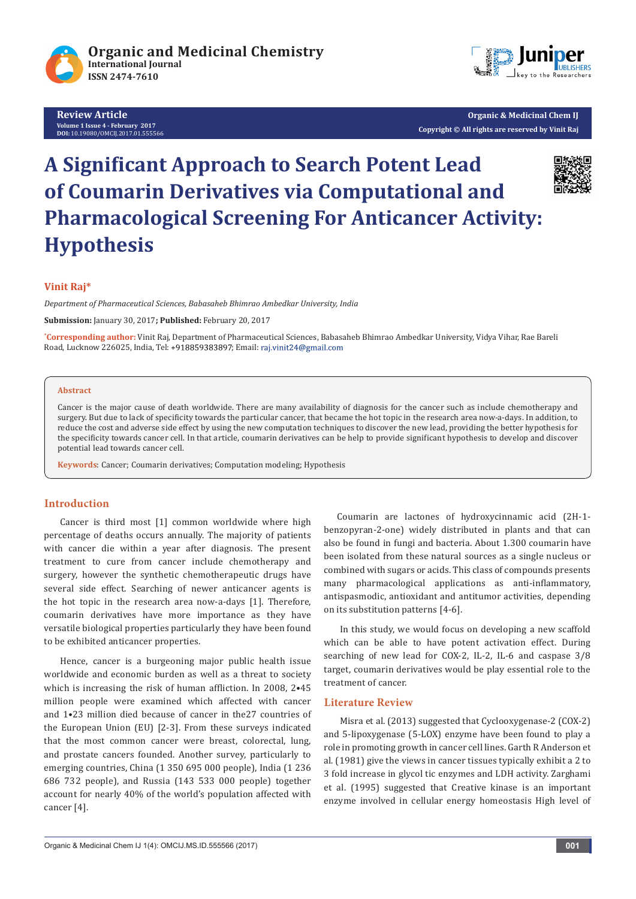

**Review Article Volume 1 Issue 4 - February 2017 DOI:** [10.19080/OMCIJ.2017.01.555566](http://dx.doi.org/10.19080/omcij.2016.01.555566)



**Organic & Medicinal Chem IJ Copyright © All rights are reserved by Vinit Raj**

# **A Significant Approach to Search Potent Lead of Coumarin Derivatives via Computational and Pharmacological Screening For Anticancer Activity: Hypothesis**



# **Vinit Raj\***

*Department of Pharmaceutical Sciences, Babasaheb Bhimrao Ambedkar University, India*

**Submission:** January 30, 2017**; Published:** February 20, 2017

**\* Corresponding author:** Vinit Raj, Department of Pharmaceutical Sciences, Babasaheb Bhimrao Ambedkar University, Vidya Vihar, Rae Bareli Road, Lucknow 226025, India, Tel: +918859383897; Email: raj.vinit24@gmail.com

### **Abstract**

Cancer is the major cause of death worldwide. There are many availability of diagnosis for the cancer such as include chemotherapy and surgery. But due to lack of specificity towards the particular cancer, that became the hot topic in the research area now-a-days. In addition, to reduce the cost and adverse side effect by using the new computation techniques to discover the new lead, providing the better hypothesis for the specificity towards cancer cell. In that article, coumarin derivatives can be help to provide significant hypothesis to develop and discover potential lead towards cancer cell.

**Keywords**: Cancer; Coumarin derivatives; Computation modeling; Hypothesis

## **Introduction**

Cancer is third most [1] common worldwide where high percentage of deaths occurs annually. The majority of patients with cancer die within a year after diagnosis. The present treatment to cure from cancer include chemotherapy and surgery, however the synthetic chemotherapeutic drugs have several side effect. Searching of newer anticancer agents is the hot topic in the research area now-a-days [1]. Therefore, coumarin derivatives have more importance as they have versatile biological properties particularly they have been found to be exhibited anticancer properties.

Hence, cancer is a burgeoning major public health issue worldwide and economic burden as well as a threat to society which is increasing the risk of human affliction. In 2008, 2•45 million people were examined which affected with cancer and 1•23 million died because of cancer in the27 countries of the European Union (EU) [2-3]. From these surveys indicated that the most common cancer were breast, colorectal, lung, and prostate cancers founded. Another survey, particularly to emerging countries, China (1 350 695 000 people), India (1 236 686 732 people), and Russia (143 533 000 people) together account for nearly 40% of the world's population affected with cancer [4].

 Coumarin are lactones of hydroxycinnamic acid (2H-1 benzopyran-2-one) widely distributed in plants and that can also be found in fungi and bacteria. About 1.300 coumarin have been isolated from these natural sources as a single nucleus or combined with sugars or acids. This class of compounds presents many pharmacological applications as anti-inflammatory, antispasmodic, antioxidant and antitumor activities, depending on its substitution patterns [4-6].

In this study, we would focus on developing a new scaffold which can be able to have potent activation effect. During searching of new lead for COX-2, IL-2, IL-6 and caspase 3/8 target, coumarin derivatives would be play essential role to the treatment of cancer.

#### **Literature Review**

Misra et al. (2013) suggested that Cyclooxygenase-2 (COX-2) and 5-lipoxygenase (5-LOX) enzyme have been found to play a role in promoting growth in cancer cell lines. Garth R Anderson et al. (1981) give the views in cancer tissues typically exhibit a 2 to 3 fold increase in glycol tic enzymes and LDH activity. Zarghami et al. (1995) suggested that Creative kinase is an important enzyme involved in cellular energy homeostasis High level of